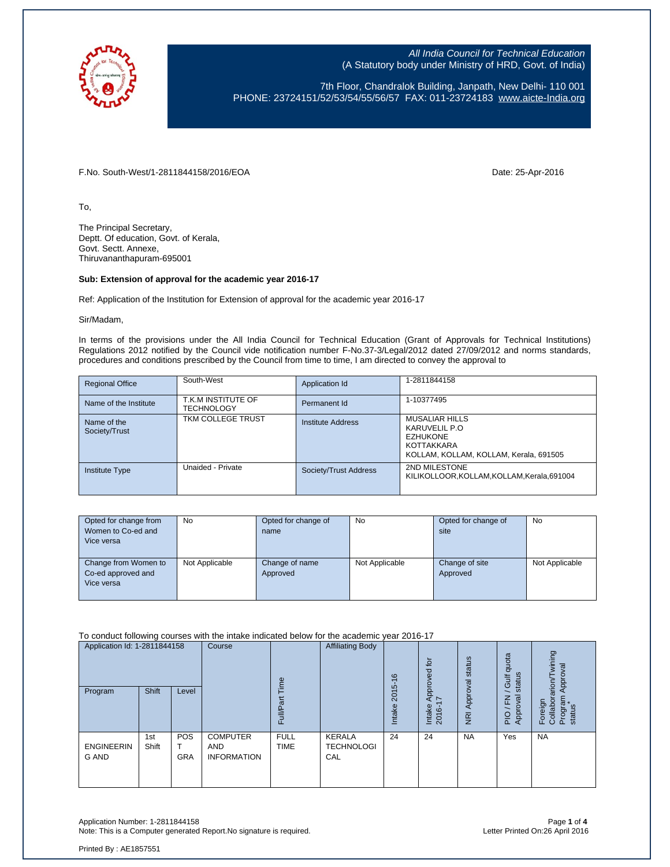

7th Floor, Chandralok Building, Janpath, New Delhi- 110 001 PHONE: 23724151/52/53/54/55/56/57 FAX: 011-23724183 [www.aicte-India.org](http://www.aicte-india.org/)

F.No. South-West/1-2811844158/2016/EOA Date: 25-Apr-2016

To,

The Principal Secretary, Deptt. Of education, Govt. of Kerala, Govt. Sectt. Annexe, Thiruvananthapuram-695001

#### **Sub: Extension of approval for the academic year 2016-17**

Ref: Application of the Institution for Extension of approval for the academic year 2016-17

Sir/Madam,

In terms of the provisions under the All India Council for Technical Education (Grant of Approvals for Technical Institutions) Regulations 2012 notified by the Council vide notification number F-No.37-3/Legal/2012 dated 27/09/2012 and norms standards, procedures and conditions prescribed by the Council from time to time, I am directed to convey the approval to

| <b>Regional Office</b>       | South-West                              | Application Id        | 1-2811844158                                                                                               |
|------------------------------|-----------------------------------------|-----------------------|------------------------------------------------------------------------------------------------------------|
| Name of the Institute        | T.K.M INSTITUTE OF<br><b>TECHNOLOGY</b> | Permanent Id          | 1-10377495                                                                                                 |
| Name of the<br>Society/Trust | TKM COLLEGE TRUST                       | Institute Address     | MUSALIAR HILLS<br>KARUVELIL P.O<br><b>EZHUKONE</b><br>KOTTAKKARA<br>KOLLAM, KOLLAM, KOLLAM, Kerala, 691505 |
| Institute Type               | Unaided - Private                       | Society/Trust Address | 2ND MILESTONE<br>KILIKOLLOOR, KOLLAM, KOLLAM, Kerala, 691004                                               |

| Opted for change from | <b>No</b>      | Opted for change of | No             | Opted for change of | <b>No</b>      |
|-----------------------|----------------|---------------------|----------------|---------------------|----------------|
| Women to Co-ed and    |                | name                |                | site                |                |
| Vice versa            |                |                     |                |                     |                |
|                       |                |                     |                |                     |                |
| Change from Women to  | Not Applicable | Change of name      | Not Applicable | Change of site      | Not Applicable |
| Co-ed approved and    |                | Approved            |                | Approved            |                |
| Vice versa            |                |                     |                |                     |                |
|                       |                |                     |                |                     |                |

To conduct following courses with the intake indicated below for the academic year 2016-17

| Application Id: 1-2811844158<br><b>Shift</b><br>Program<br>Level |              | Course<br>$\omega$     |                                                     | <b>Affiliating Body</b>    | $\frac{6}{5}$<br>2015                     | Approved for<br>17 | Approval status  | quota<br>status<br>Gulf | wining<br>Approval<br>arion                              |                                          |
|------------------------------------------------------------------|--------------|------------------------|-----------------------------------------------------|----------------------------|-------------------------------------------|--------------------|------------------|-------------------------|----------------------------------------------------------|------------------------------------------|
|                                                                  |              |                        |                                                     | ≣<br>u.                    |                                           | Intake             | Intake<br>2016-1 | $\overline{R}$          | oval<br>준<br>App<br>$\overline{\circ}$<br>$\overline{a}$ | Program<br>status<br>Foreign<br>Collabor |
| <b>ENGINEERIN</b><br>G AND                                       | 1st<br>Shift | POS<br>т<br><b>GRA</b> | <b>COMPUTER</b><br><b>AND</b><br><b>INFORMATION</b> | <b>FULL</b><br><b>TIME</b> | <b>KERALA</b><br><b>TECHNOLOGI</b><br>CAL | 24                 | 24               | <b>NA</b>               | Yes                                                      | <b>NA</b>                                |

Application Number: 1-2811844158 Page **1** of **4** Note: This is a Computer generated Report. No signature is required.

Printed By : AE1857551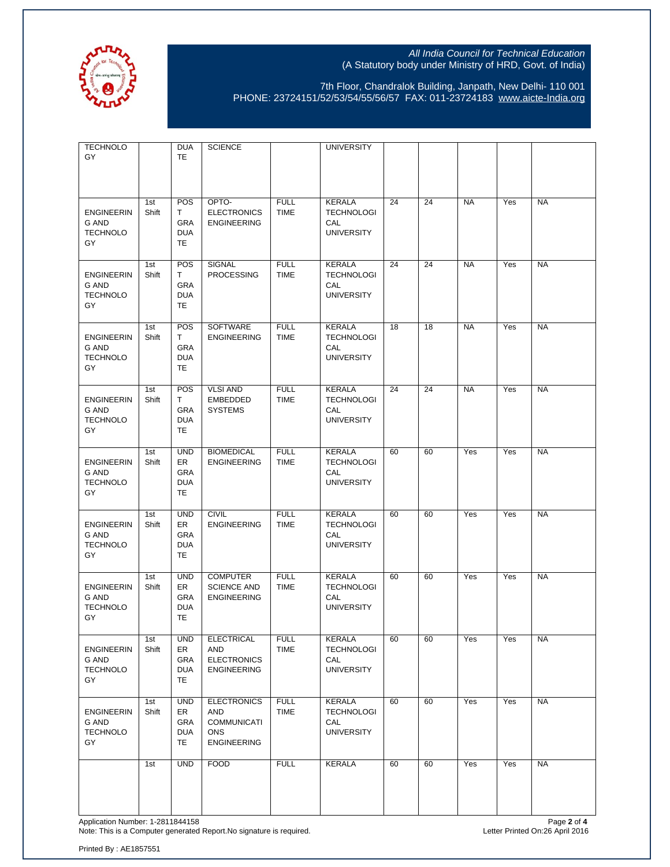

7th Floor, Chandralok Building, Janpath, New Delhi- 110 001 PHONE: 23724151/52/53/54/55/56/57 FAX: 011-23724183 [www.aicte-India.org](http://www.aicte-india.org/)

| <b>TECHNOLO</b><br>GY                               |              | <b>DUA</b><br><b>TE</b>                            | <b>SCIENCE</b>                                                                      |                            | <b>UNIVERSITY</b>                                              |    |    |           |     |           |
|-----------------------------------------------------|--------------|----------------------------------------------------|-------------------------------------------------------------------------------------|----------------------------|----------------------------------------------------------------|----|----|-----------|-----|-----------|
| <b>ENGINEERIN</b><br>G AND<br><b>TECHNOLO</b><br>GY | 1st<br>Shift | POS<br>T<br>GRA<br><b>DUA</b><br>TE                | OPTO-<br><b>ELECTRONICS</b><br><b>ENGINEERING</b>                                   | <b>FULL</b><br><b>TIME</b> | <b>KERALA</b><br><b>TECHNOLOGI</b><br>CAL<br><b>UNIVERSITY</b> | 24 | 24 | <b>NA</b> | Yes | <b>NA</b> |
| <b>ENGINEERIN</b><br>G AND<br><b>TECHNOLO</b><br>GY | 1st<br>Shift | POS<br>T.<br>GRA<br><b>DUA</b><br>TE               | <b>SIGNAL</b><br><b>PROCESSING</b>                                                  | <b>FULL</b><br><b>TIME</b> | <b>KERALA</b><br><b>TECHNOLOGI</b><br>CAL<br><b>UNIVERSITY</b> | 24 | 24 | <b>NA</b> | Yes | <b>NA</b> |
| <b>ENGINEERIN</b><br>G AND<br><b>TECHNOLO</b><br>GY | 1st<br>Shift | POS<br>T.<br>GRA<br><b>DUA</b><br>TE               | SOFTWARE<br><b>ENGINEERING</b>                                                      | <b>FULL</b><br><b>TIME</b> | <b>KERALA</b><br><b>TECHNOLOGI</b><br>CAL<br><b>UNIVERSITY</b> | 18 | 18 | <b>NA</b> | Yes | <b>NA</b> |
| <b>ENGINEERIN</b><br>G AND<br><b>TECHNOLO</b><br>GY | 1st<br>Shift | POS<br>T.<br>GRA<br><b>DUA</b><br>TE               | <b>VLSI AND</b><br><b>EMBEDDED</b><br><b>SYSTEMS</b>                                | <b>FULL</b><br><b>TIME</b> | <b>KERALA</b><br><b>TECHNOLOGI</b><br>CAL<br><b>UNIVERSITY</b> | 24 | 24 | <b>NA</b> | Yes | <b>NA</b> |
| <b>ENGINEERIN</b><br>G AND<br><b>TECHNOLO</b><br>GY | 1st<br>Shift | <b>UND</b><br>ER<br>GRA<br><b>DUA</b><br>TE        | <b>BIOMEDICAL</b><br><b>ENGINEERING</b>                                             | <b>FULL</b><br><b>TIME</b> | <b>KERALA</b><br><b>TECHNOLOGI</b><br>CAL<br><b>UNIVERSITY</b> | 60 | 60 | Yes       | Yes | <b>NA</b> |
| <b>ENGINEERIN</b><br>G AND<br><b>TECHNOLO</b><br>GY | 1st<br>Shift | <b>UND</b><br>ER<br>GRA<br><b>DUA</b><br>TE        | <b>CIVIL</b><br><b>ENGINEERING</b>                                                  | <b>FULL</b><br><b>TIME</b> | <b>KERALA</b><br><b>TECHNOLOGI</b><br>CAL<br><b>UNIVERSITY</b> | 60 | 60 | Yes       | Yes | <b>NA</b> |
| <b>ENGINEERIN</b><br>G AND<br><b>TECHNOLO</b><br>GY | 1st<br>Shift | <b>UND</b><br>ER<br><b>GRA</b><br><b>DUA</b><br>TE | <b>COMPUTER</b><br><b>SCIENCE AND</b><br><b>ENGINEERING</b>                         | <b>FULL</b><br><b>TIME</b> | <b>KERALA</b><br><b>TECHNOLOGI</b><br>CAL<br><b>UNIVERSITY</b> | 60 | 60 | Yes       | Yes | <b>NA</b> |
| <b>ENGINEERIN</b><br>G AND<br><b>TECHNOLO</b><br>GY | 1st<br>Shift | <b>UND</b><br>ER<br>GRA<br><b>DUA</b><br>TE        | <b>ELECTRICAL</b><br>AND<br><b>ELECTRONICS</b><br><b>ENGINEERING</b>                | <b>FULL</b><br><b>TIME</b> | KERALA<br><b>TECHNOLOGI</b><br>CAL<br><b>UNIVERSITY</b>        | 60 | 60 | Yes       | Yes | <b>NA</b> |
| <b>ENGINEERIN</b><br>G AND<br><b>TECHNOLO</b><br>GY | 1st<br>Shift | <b>UND</b><br>ER<br>GRA<br><b>DUA</b><br>TE.       | <b>ELECTRONICS</b><br>AND<br><b>COMMUNICATI</b><br><b>ONS</b><br><b>ENGINEERING</b> | <b>FULL</b><br><b>TIME</b> | KERALA<br><b>TECHNOLOGI</b><br>CAL<br><b>UNIVERSITY</b>        | 60 | 60 | Yes       | Yes | <b>NA</b> |
|                                                     | 1st          | <b>UND</b>                                         | <b>FOOD</b>                                                                         | <b>FULL</b>                | <b>KERALA</b>                                                  | 60 | 60 | Yes       | Yes | <b>NA</b> |

Application Number: 1-2811844158 Page **2** of **4** Note: This is a Computer generated Report.No signature is required. Letter Printed On:26 April 2016

Printed By : AE1857551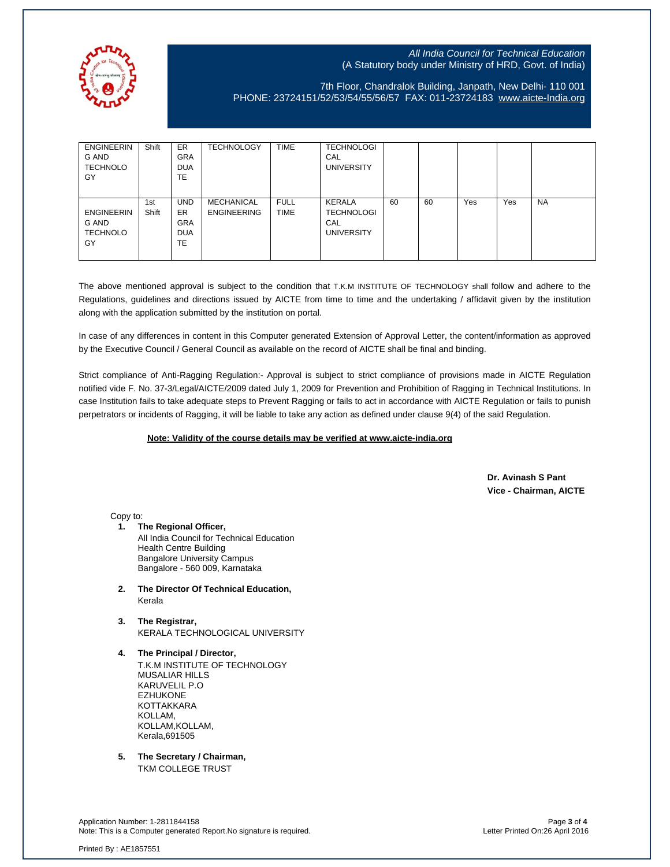

# 7th Floor, Chandralok Building, Janpath, New Delhi- 110 001 PHONE: 23724151/52/53/54/55/56/57 FAX: 011-23724183 [www.aicte-India.org](http://www.aicte-india.org/)

| <b>ENGINEERIN</b><br>G AND<br><b>TECHNOLO</b><br>GY | Shift        | <b>ER</b><br><b>GRA</b><br><b>DUA</b><br>TE               | <b>TECHNOLOGY</b>                | <b>TIME</b>                | <b>TECHNOLOGI</b><br>CAL<br><b>UNIVERSITY</b>                  |    |    |     |     |           |
|-----------------------------------------------------|--------------|-----------------------------------------------------------|----------------------------------|----------------------------|----------------------------------------------------------------|----|----|-----|-----|-----------|
| <b>ENGINEERIN</b><br>G AND<br><b>TECHNOLO</b><br>GY | 1st<br>Shift | <b>UND</b><br><b>ER</b><br><b>GRA</b><br><b>DUA</b><br>TE | MECHANICAL<br><b>ENGINEERING</b> | <b>FULL</b><br><b>TIME</b> | <b>KERALA</b><br><b>TECHNOLOGI</b><br>CAL<br><b>UNIVERSITY</b> | 60 | 60 | Yes | Yes | <b>NA</b> |

The above mentioned approval is subject to the condition that T.K.M INSTITUTE OF TECHNOLOGY shall follow and adhere to the Regulations, guidelines and directions issued by AICTE from time to time and the undertaking / affidavit given by the institution along with the application submitted by the institution on portal.

In case of any differences in content in this Computer generated Extension of Approval Letter, the content/information as approved by the Executive Council / General Council as available on the record of AICTE shall be final and binding.

Strict compliance of Anti-Ragging Regulation:- Approval is subject to strict compliance of provisions made in AICTE Regulation notified vide F. No. 37-3/Legal/AICTE/2009 dated July 1, 2009 for Prevention and Prohibition of Ragging in Technical Institutions. In case Institution fails to take adequate steps to Prevent Ragging or fails to act in accordance with AICTE Regulation or fails to punish perpetrators or incidents of Ragging, it will be liable to take any action as defined under clause 9(4) of the said Regulation.

### **Note: Validity of the course details may be verified at www.aicte-india.org**

 **Dr. Avinash S Pant Vice - Chairman, AICTE**

Copy to:

- **1. The Regional Officer,** All India Council for Technical Education Health Centre Building Bangalore University Campus Bangalore - 560 009, Karnataka
- **2. The Director Of Technical Education,** Kerala
- **3. The Registrar,** KERALA TECHNOLOGICAL UNIVERSITY
- **4. The Principal / Director,** T.K.M INSTITUTE OF TECHNOLOGY MUSALIAR HILLS KARUVELIL P.O EZHUKONE KOTTAKKARA KOLLAM, KOLLAM,KOLLAM, Kerala,691505
- **5. The Secretary / Chairman,** TKM COLLEGE TRUST

Application Number: 1-2811844158 Page **3** of **4** Note: This is a Computer generated Report.No signature is required.